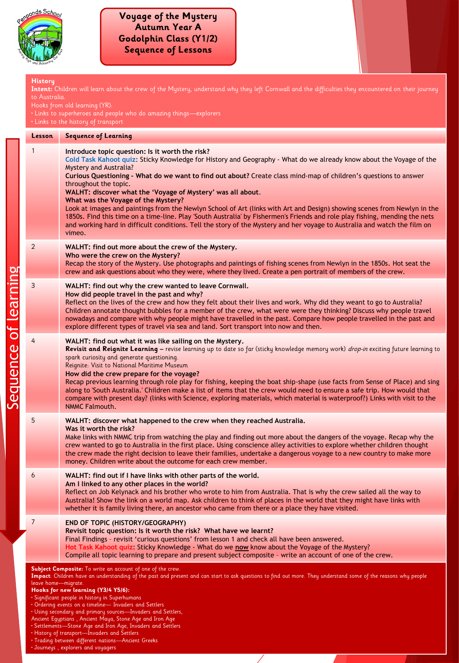

equence of learning

#### **History Intent:** Children will learn about the crew of the Mystery, understand why they left Cornwall and the difficulties they encountered on their journey to Australia. Hooks from old learning (YR): • Links to superheroes and people who do amazing things—explorers • Links to the history of transport **Lesson Sequence of Learning** 1 **Introduce topic question: Is it worth the risk? Cold Task Kahoot quiz**: Sticky Knowledge for History and Geography - What do we already know about the Voyage of the Mystery and Australia? **Curious Questioning - What do we want to find out about?** Create class mind-map of children's questions to answer throughout the topic. **WALHT: discover what the 'Voyage of Mystery' was all about**. **What was the Voyage of the Mystery?** Look at images and paintings from the Newlyn School of Art (links with Art and Design) showing scenes from Newlyn in the 1850s. Find this time on a time-line. Play 'South Australia' by Fishermen's Friends and role play fishing, mending the nets and working hard in difficult conditions. Tell the story of the Mystery and her voyage to Australia and watch the film on vimeo. 2 **WALHT: find out more about the crew of the Mystery. Who were the crew on the Mystery?** Recap the story of the Mystery. Use photographs and paintings of fishing scenes from Newlyn in the 1850s. Hot seat the crew and ask questions about who they were, where they lived. Create a pen portrait of members of the crew. 3 **WALHT: find out why the crew wanted to leave Cornwall. How did people travel in the past and why?** Reflect on the lives of the crew and how they felt about their lives and work. Why did they weant to go to Australia? Children annotate thought bubbles for a member of the crew, what were were they thinking? Discuss why people travel nowadays and compare with why people might have travelled in the past. Compare how people travelled in the past and explore different types of travel via sea and land. Sort transport into now and then. 4 **WALHT: find out what it was like sailing on the Mystery. Revisit and Reignite Learning –** revise learning up to date so far (sticky knowledge memory work) drop-in exciting future learning to spark curiosity and generate questioning. Reignite: Visit to National Maritime Museum **How did the crew prepare for the voyage?** Recap previous learning through role play for fishing, keeping the boat ship-shape (use facts from Sense of Place) and sing along to 'South Australia.' Children make a list of items that the crew would need to ensure a safe trip. How would that compare with present day? (links with Science, exploring materials, which material is waterproof?) Links with visit to the NMMC Falmouth. 5 **WALHT: discover what happened to the crew when they reached Australia. Was it worth the risk?** Make links with NMMC trip from watching the play and finding out more about the dangers of the voyage. Recap why the crew wanted to go to Australia in the first place. Using conscience alley activities to explore whether children thought the crew made the right decision to leave their families, undertake a dangerous voyage to a new country to make more money. Children write about the outcome for each crew member. 6 **WALHT: find out if I have links with other parts of the world. Am I linked to any other places in the world?** Reflect on Job Kelynack and his brother who wrote to him from Australia. That is why the crew sailed all the way to Australia! Show the link on a world map. Ask children to think of places in the world that they might have links with whether it is family living there, an ancestor who came from there or a place they have visited. 7 **END OF TOPIC (HISTORY/GEOGRAPHY) Revisit topic question: Is it worth the risk? What have we learnt?** Final Findings – revisit 'curious questions' from lesson 1 and check all have been answered. **Hot Task Kahoot quiz**: Sticky Knowledge - What do we **now** know about the Voyage of the Mystery? Compile all topic learning to prepare and present subject composite – write an account of one of the crew. **Subject Composite:** To write an account of one of the crew. **Impact**: Children have an understanding of the past and present and can start to ask questions to find out more. They understand some of the reasons why people ive home—migrate. **Hooks for new learning (Y3/4 Y5/6):** • Significant people in history in Superhumans • Ordering events on a timeline— Invaders and Settlers • Using secondary and primary sources—Invaders and Settlers, Ancient Egyptians , Ancient Maya, Stone Age and Iron Age • Settlements—Stone Age and Iron Age, Invaders and Settlers • History of transport—Invaders and Settlers • Trading between different nations—Ancient Greeks

• Journeys , explorers and voyagers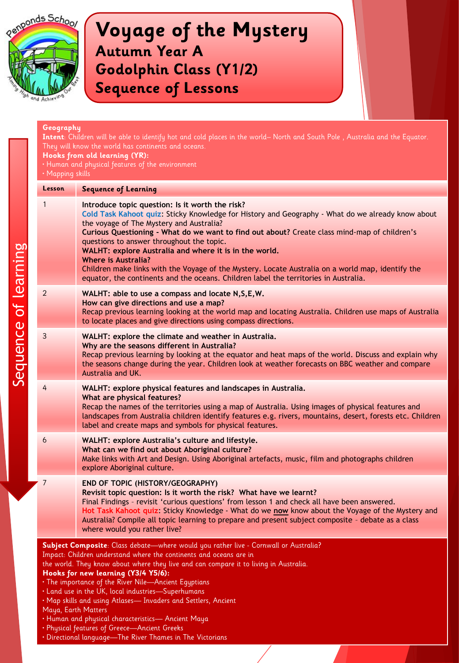

|  | Geography<br>Intent: Children will be able to identify hot and cold places in the world-North and South Pole, Australia and the Equator.<br>They will know the world has continents and oceans.<br>Hooks from old learning (YR):<br>. Human and physical features of the environment<br>· Mapping skills |                                                                                                                                                                                                                                                                                                                                                                                                                                                                                                                                                                                                                                               |
|--|----------------------------------------------------------------------------------------------------------------------------------------------------------------------------------------------------------------------------------------------------------------------------------------------------------|-----------------------------------------------------------------------------------------------------------------------------------------------------------------------------------------------------------------------------------------------------------------------------------------------------------------------------------------------------------------------------------------------------------------------------------------------------------------------------------------------------------------------------------------------------------------------------------------------------------------------------------------------|
|  | <b>Lesson</b>                                                                                                                                                                                                                                                                                            | <b>Sequence of Learning</b>                                                                                                                                                                                                                                                                                                                                                                                                                                                                                                                                                                                                                   |
|  | 1                                                                                                                                                                                                                                                                                                        | Introduce topic question: Is it worth the risk?<br>Cold Task Kahoot quiz: Sticky Knowledge for History and Geography - What do we already know about<br>the voyage of The Mystery and Australia?<br>Curious Questioning - What do we want to find out about? Create class mind-map of children's<br>questions to answer throughout the topic.<br>WALHT: explore Australia and where it is in the world.<br><b>Where is Australia?</b><br>Children make links with the Voyage of the Mystery. Locate Australia on a world map, identify the<br>equator, the continents and the oceans. Children label the territories in Australia.            |
|  | 2                                                                                                                                                                                                                                                                                                        | WALHT: able to use a compass and locate N, S, E, W.<br>How can give directions and use a map?<br>Recap previous learning looking at the world map and locating Australia. Children use maps of Australia<br>to locate places and give directions using compass directions.                                                                                                                                                                                                                                                                                                                                                                    |
|  | 3                                                                                                                                                                                                                                                                                                        | WALHT: explore the climate and weather in Australia.<br>Why are the seasons different in Australia?<br>Recap previous learning by looking at the equator and heat maps of the world. Discuss and explain why<br>the seasons change during the year. Children look at weather forecasts on BBC weather and compare<br>Australia and UK.                                                                                                                                                                                                                                                                                                        |
|  | 4                                                                                                                                                                                                                                                                                                        | WALHT: explore physical features and landscapes in Australia.<br>What are physical features?<br>Recap the names of the territories using a map of Australia. Using images of physical features and<br>landscapes from Australia children identify features e.g. rivers, mountains, desert, forests etc. Children<br>label and create maps and symbols for physical features.                                                                                                                                                                                                                                                                  |
|  | 6                                                                                                                                                                                                                                                                                                        | WALHT: explore Australia's culture and lifestyle.<br>What can we find out about Aboriginal culture?<br>Make links with Art and Design. Using Aboriginal artefacts, music, film and photographs children<br>explore Aboriginal culture.                                                                                                                                                                                                                                                                                                                                                                                                        |
|  | 7                                                                                                                                                                                                                                                                                                        | END OF TOPIC (HISTORY/GEOGRAPHY)<br>Revisit topic question: Is it worth the risk? What have we learnt?<br>Final Findings - revisit 'curious questions' from lesson 1 and check all have been answered.<br>Hot Task Kahoot quiz: Sticky Knowledge - What do we now know about the Voyage of the Mystery and<br>Australia? Compile all topic learning to prepare and present subject composite - debate as a class<br>where would you rather live?                                                                                                                                                                                              |
|  | Maya, Earth Matters                                                                                                                                                                                                                                                                                      | Subject Composite: Class debate-where would you rather live - Cornwall or Australia?<br>Impact: Children understand where the continents and oceans are in<br>the world. They know about where they live and can compare it to living in Australia.<br>Hooks for new learning (Y3/4 Y5/6):<br>• The importance of the River Nile-Ancient Egyptians<br>. Land use in the UK, local industries-Superhumans<br>. Map skills and using Atlases- Invaders and Settlers, Ancient<br>· Human and physical characteristics- Ancient Maya<br>• Physical features of Greece-Ancient Greeks<br>• Directional language-The River Thames in The Victorians |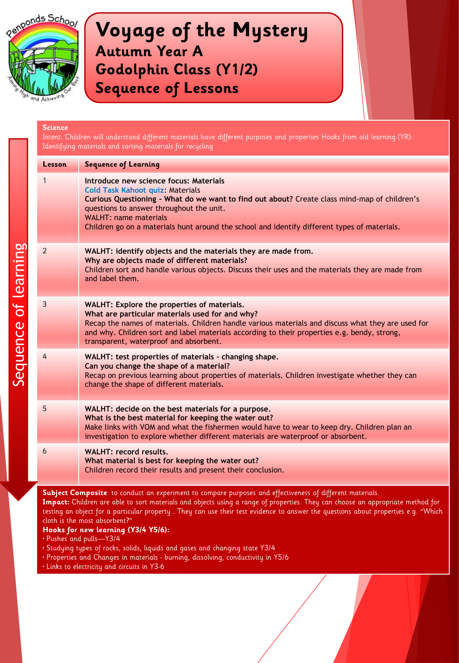

| <b>Science</b> | Intent: Children will understand different materials have different purposes and properties Hooks from old learning (YR):<br>Identifying materials and sorting materials for recycling                                                                                                                                                                        |  |
|----------------|---------------------------------------------------------------------------------------------------------------------------------------------------------------------------------------------------------------------------------------------------------------------------------------------------------------------------------------------------------------|--|
| <b>Lesson</b>  | <b>Sequence of Learning</b>                                                                                                                                                                                                                                                                                                                                   |  |
| 1              | Introduce new science focus: Materials<br><b>Cold Task Kahoot quiz: Materials</b><br>Curious Questioning - What do we want to find out about? Create class mind-map of children's<br>questions to answer throughout the unit.<br><b>WALHT: name materials</b><br>Children go on a materials hunt around the school and identify different types of materials. |  |
| $\overline{2}$ | WALHT: identify objects and the materials they are made from.<br>Why are objects made of different materials?<br>Children sort and handle various objects. Discuss their uses and the materials they are made from<br>and label them.                                                                                                                         |  |
| 3              | WALHT: Explore the properties of materials.<br>What are particular materials used for and why?<br>Recap the names of materials. Children handle various materials and discuss what they are used for<br>and why. Children sort and label materials according to their properties e.g. bendy, strong,<br>transparent, waterproof and absorbent.                |  |
| 4              | WALHT: test properties of materials - changing shape.<br>Can you change the shape of a material?<br>Recap on previous learning about properties of materials. Children investigate whether they can<br>change the shape of different materials.                                                                                                               |  |
| 5              | WALHT: decide on the best materials for a purpose.<br>What is the best material for keeping the water out?<br>Make links with VOM and what the fishermen would have to wear to keep dry. Children plan an<br>investigation to explore whether different materials are waterproof or absorbent.                                                                |  |
| 6              | <b>WALHT: record results.</b><br>What material is best for keeping the water out?<br>Children record their results and present their conclusion.                                                                                                                                                                                                              |  |

**Subject Composite**: to conduct an experiment to compare purposes and effectiveness of different materials. **Impact:** Children are able to sort materials and objects using a range of properties. They can choose an appropriate method for testing an object for a particular property . They can use their test evidence to answer the questions about properties e.g. "Which cloth is the most absorbent?"

#### **Hooks for new learning (Y3/4 Y5/6):**

- Pushes and pulls—Y3/4
- Studying types of rocks, solids, liquids and gases and changing state Y3/4
- Properties and Changes in materials burning, dissolving, conductivity in Y5/6
- Links to electricity and circuits in Y3-6

Sequence of learning Sequence of learning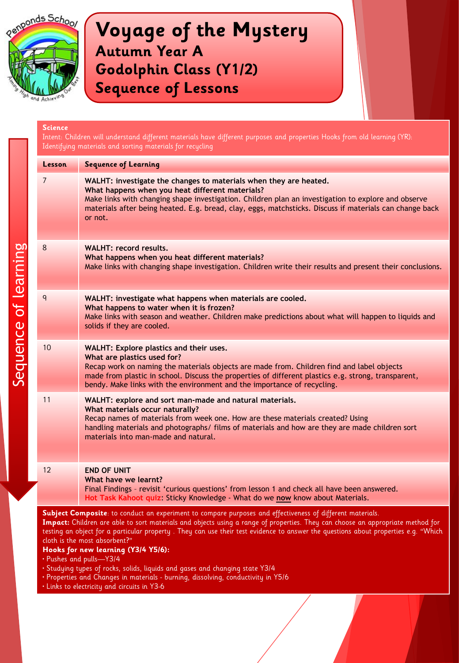

Sequence of learning

# **Voyage of the Mystery Autumn Year A Godolphin Class (Y1/2) Sequence of Lessons**

| <b>Science</b><br>Intent: Children will understand different materials have different purposes and properties Hooks from old learning (YR):<br>Identifying materials and sorting materials for recycling |                                                                                                                                                                                                                                                                                                                                                                                                                                                                                                                                                                                                                                                                                                          |
|----------------------------------------------------------------------------------------------------------------------------------------------------------------------------------------------------------|----------------------------------------------------------------------------------------------------------------------------------------------------------------------------------------------------------------------------------------------------------------------------------------------------------------------------------------------------------------------------------------------------------------------------------------------------------------------------------------------------------------------------------------------------------------------------------------------------------------------------------------------------------------------------------------------------------|
| Lesson                                                                                                                                                                                                   | <b>Sequence of Learning</b>                                                                                                                                                                                                                                                                                                                                                                                                                                                                                                                                                                                                                                                                              |
| 7                                                                                                                                                                                                        | WALHT: investigate the changes to materials when they are heated.<br>What happens when you heat different materials?<br>Make links with changing shape investigation. Children plan an investigation to explore and observe<br>materials after being heated. E.g. bread, clay, eggs, matchsticks. Discuss if materials can change back<br>or not.                                                                                                                                                                                                                                                                                                                                                        |
| 8                                                                                                                                                                                                        | WALHT: record results.<br>What happens when you heat different materials?<br>Make links with changing shape investigation. Children write their results and present their conclusions.                                                                                                                                                                                                                                                                                                                                                                                                                                                                                                                   |
| 9                                                                                                                                                                                                        | WALHT: investigate what happens when materials are cooled.<br>What happens to water when it is frozen?<br>Make links with season and weather. Children make predictions about what will happen to liquids and<br>solids if they are cooled.                                                                                                                                                                                                                                                                                                                                                                                                                                                              |
| 10                                                                                                                                                                                                       | WALHT: Explore plastics and their uses.<br>What are plastics used for?<br>Recap work on naming the materials objects are made from. Children find and label objects<br>made from plastic in school. Discuss the properties of different plastics e.g. strong, transparent,<br>bendy. Make links with the environment and the importance of recycling.                                                                                                                                                                                                                                                                                                                                                    |
| 11                                                                                                                                                                                                       | WALHT: explore and sort man-made and natural materials.<br>What materials occur naturally?<br>Recap names of materials from week one. How are these materials created? Using<br>handling materials and photographs/ films of materials and how are they are made children sort<br>materials into man-made and natural.                                                                                                                                                                                                                                                                                                                                                                                   |
| 12                                                                                                                                                                                                       | <b>END OF UNIT</b><br>What have we learnt?<br>Final Findings - revisit 'curious questions' from lesson 1 and check all have been answered.<br>Hot Task Kahoot quiz: Sticky Knowledge - What do we <u>now</u> know about Materials.                                                                                                                                                                                                                                                                                                                                                                                                                                                                       |
|                                                                                                                                                                                                          | Subject Composite: to conduct an experiment to compare purposes and effectiveness of different materials.<br>Impact: Children are able to sort materials and objects using a range of properties. They can choose an appropriate method for<br>testing an object for a particular property. They can use their test evidence to answer the questions about properties e.g. "Which<br>cloth is the most absorbent?"<br>Hooks for new learning (Y3/4 Y5/6):<br>• Pushes and pulls—Y3/4<br>· Studying types of rocks, solids, liquids and gases and changing state Y3/4<br>· Properties and Changes in materials - burning, dissolving, conductivity in Y5/6<br>· Links to electricity and circuits in Y3-6 |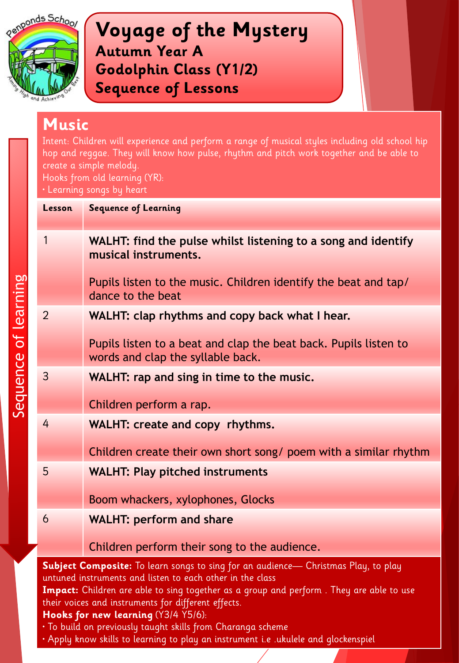

Sequence of learning

**Voyage of the Mystery Autumn Year A Godolphin Class (Y1/2) Sequence of Lessons**

## **Music**

Intent: Children will experience and perform a range of musical styles including old school hip hop and reggae. They will know how pulse, rhythm and pitch work together and be able to create a simple melody.

Hooks from old learning (YR):

• Learning songs by heart

| Lesson                                                                                                                                                                                                                                                                                                   | <b>Sequence of Learning</b>                                                                           |
|----------------------------------------------------------------------------------------------------------------------------------------------------------------------------------------------------------------------------------------------------------------------------------------------------------|-------------------------------------------------------------------------------------------------------|
| 1                                                                                                                                                                                                                                                                                                        | WALHT: find the pulse whilst listening to a song and identify<br>musical instruments.                 |
|                                                                                                                                                                                                                                                                                                          | Pupils listen to the music. Children identify the beat and tap/<br>dance to the beat                  |
| $\overline{2}$                                                                                                                                                                                                                                                                                           | WALHT: clap rhythms and copy back what I hear.                                                        |
|                                                                                                                                                                                                                                                                                                          | Pupils listen to a beat and clap the beat back. Pupils listen to<br>words and clap the syllable back. |
| 3                                                                                                                                                                                                                                                                                                        | WALHT: rap and sing in time to the music.                                                             |
|                                                                                                                                                                                                                                                                                                          | Children perform a rap.                                                                               |
| 4                                                                                                                                                                                                                                                                                                        | WALHT: create and copy rhythms.                                                                       |
|                                                                                                                                                                                                                                                                                                          | Children create their own short song/ poem with a similar rhythm                                      |
| 5                                                                                                                                                                                                                                                                                                        | <b>WALHT: Play pitched instruments</b>                                                                |
|                                                                                                                                                                                                                                                                                                          | Boom whackers, xylophones, Glocks                                                                     |
| 6                                                                                                                                                                                                                                                                                                        | <b>WALHT: perform and share</b>                                                                       |
|                                                                                                                                                                                                                                                                                                          | Children perform their song to the audience.                                                          |
| Subject Composite: To learn songs to sing for an audience- Christmas Play, to play<br>untuned instruments and listen to each other in the class<br><b>Impact:</b> Children are able to sing together as a group and perform. They are able to use<br>their voices and instruments for different effects. |                                                                                                       |

### **Hooks for new learning** (Y3/4 Y5/6):

• To build on previously taught skills from Charanga scheme

• Apply know skills to learning to play an instrument i.e .ukulele and glockenspiel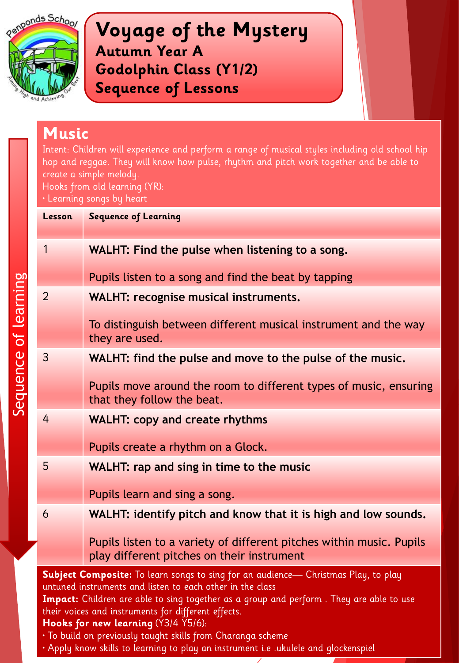

Sequence of learning

**Voyage of the Mystery Autumn Year A Godolphin Class (Y1/2) Sequence of Lessons**

## **Music**

Intent: Children will experience and perform a range of musical styles including old school hip hop and reggae. They will know how pulse, rhythm and pitch work together and be able to create a simple melody.

Hooks from old learning (YR):

• Learning songs by heart

| Lesson                                                                                                                                                                                                                                                                                                                                   | <b>Sequence of Learning</b>                                                                                        |
|------------------------------------------------------------------------------------------------------------------------------------------------------------------------------------------------------------------------------------------------------------------------------------------------------------------------------------------|--------------------------------------------------------------------------------------------------------------------|
| 1                                                                                                                                                                                                                                                                                                                                        | WALHT: Find the pulse when listening to a song.                                                                    |
|                                                                                                                                                                                                                                                                                                                                          | Pupils listen to a song and find the beat by tapping                                                               |
| $\overline{2}$                                                                                                                                                                                                                                                                                                                           | <b>WALHT: recognise musical instruments.</b>                                                                       |
|                                                                                                                                                                                                                                                                                                                                          | To distinguish between different musical instrument and the way<br>they are used.                                  |
| 3                                                                                                                                                                                                                                                                                                                                        | WALHT: find the pulse and move to the pulse of the music.                                                          |
|                                                                                                                                                                                                                                                                                                                                          | Pupils move around the room to different types of music, ensuring<br>that they follow the beat.                    |
| 4                                                                                                                                                                                                                                                                                                                                        | <b>WALHT: copy and create rhythms</b>                                                                              |
|                                                                                                                                                                                                                                                                                                                                          | Pupils create a rhythm on a Glock.                                                                                 |
| 5                                                                                                                                                                                                                                                                                                                                        | WALHT: rap and sing in time to the music                                                                           |
|                                                                                                                                                                                                                                                                                                                                          | Pupils learn and sing a song.                                                                                      |
| 6                                                                                                                                                                                                                                                                                                                                        | WALHT: identify pitch and know that it is high and low sounds.                                                     |
|                                                                                                                                                                                                                                                                                                                                          | Pupils listen to a variety of different pitches within music. Pupils<br>play different pitches on their instrument |
| Subject Composite: To learn songs to sing for an audience- Christmas Play, to play<br>untuned instruments and listen to each other in the class<br>Impact: Children are able to sing together as a group and perform. They are able to use<br>their voices and instruments for different effects.<br>Hooks for new learning (Y3/4 Y5/6): |                                                                                                                    |

- To build on previously taught skills from Charanga scheme
- Apply know skills to learning to play an instrument i.e .ukulele and glockenspiel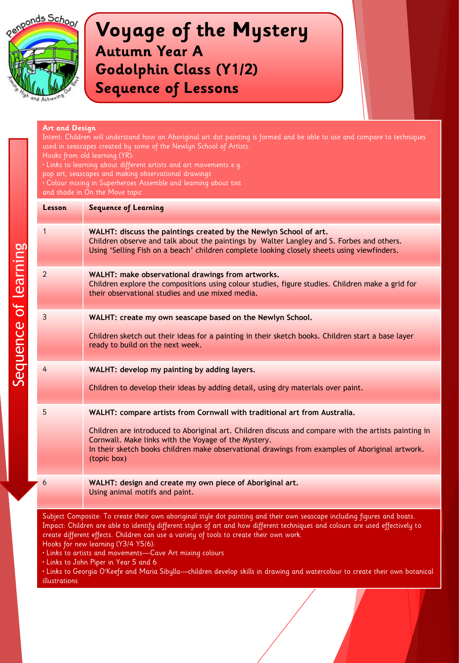

### **Art and Design**

Intent: Children will understand how an Aboriginal art dot painting is formed and be able to use and compare to techniques used in seascapes created by some of the Newlyn School of Artists. Hooks from old learning (YR): • Links to learning about different artists and art movements e.g. pop art, seascapes and making observational drawings • Colour mixing in Superheroes Assemble and learning about tint and shade in On the Move topic **Lesson Sequence of Learning** 1 **WALHT: discuss the paintings created by the Newlyn School of art.** Children observe and talk about the paintings by Walter Langley and S. Forbes and others. Using 'Selling Fish on a beach' children complete looking closely sheets using viewfinders. 2 **WALHT: make observational drawings from artworks.** Children explore the compositions using colour studies, figure studies. Children make a grid for their observational studies and use mixed media. 3 **WALHT: create my own seascape based on the Newlyn School.** Children sketch out their ideas for a painting in their sketch books. Children start a base layer ready to build on the next week. 4 **WALHT: develop my painting by adding layers.** Children to develop their ideas by adding detail, using dry materials over paint. 5 **WALHT: compare artists from Cornwall with traditional art from Australia.** Children are introduced to Aboriginal art. Children discuss and compare with the artists painting in Cornwall. Make links with the Voyage of the Mystery. In their sketch books children make observational drawings from examples of Aboriginal artwork. (topic box) 6 **WALHT: design and create my own piece of Aboriginal art.** Using animal motifs and paint. Subject Composite: To create their own aboriginal style dot painting and their own seascape including figures and boats.

Impact: Children are able to identify different styles of art and how different techniques and colours are used effectively to create different effects. Children can use a variety of tools to create their own work. Hooks for new learning (Y3/4 Y5/6):

• Links to artists and movements—Cave Art mixing colours

• Links to John Piper in Year 5 and 6

• Links to Georgia O'Keefe and Maria Sibylla—children develop skills in drawing and watercolour to create their own botanical illustrations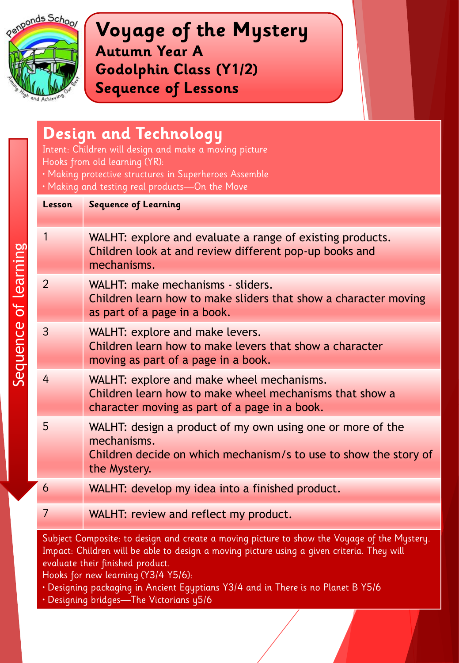

Sequence of learning

**Voyage of the Mystery Autumn Year A Godolphin Class (Y1/2) Sequence of Lessons**

## **Design and Technology**

Intent: Children will design and make a moving picture Hooks from old learning (YR):

- Making protective structures in Superheroes Assemble
- Making and testing real products—On the Move

| Lesson         | <b>Sequence of Learning</b>                                                                                                                                   |
|----------------|---------------------------------------------------------------------------------------------------------------------------------------------------------------|
| 1              | WALHT: explore and evaluate a range of existing products.<br>Children look at and review different pop-up books and<br>mechanisms.                            |
| $\overline{2}$ | WALHT: make mechanisms - sliders.<br>Children learn how to make sliders that show a character moving<br>as part of a page in a book.                          |
| 3              | WALHT: explore and make levers.<br>Children learn how to make levers that show a character<br>moving as part of a page in a book.                             |
| 4              | WALHT: explore and make wheel mechanisms.<br>Children learn how to make wheel mechanisms that show a<br>character moving as part of a page in a book.         |
| 5              | WALHT: design a product of my own using one or more of the<br>mechanisms.<br>Children decide on which mechanism/s to use to show the story of<br>the Mystery. |
| 6              | WALHT: develop my idea into a finished product.                                                                                                               |
| 7              | WALHT: review and reflect my product.                                                                                                                         |

Subject Composite: to design and create a moving picture to show the Voyage of the Mystery. Impact: Children will be able to design a moving picture using a given criteria. They will evaluate their finished product.

- Designing packaging in Ancient Egyptians Y3/4 and in There is no Planet B Y5/6
- Designing bridges—The Victorians y5/6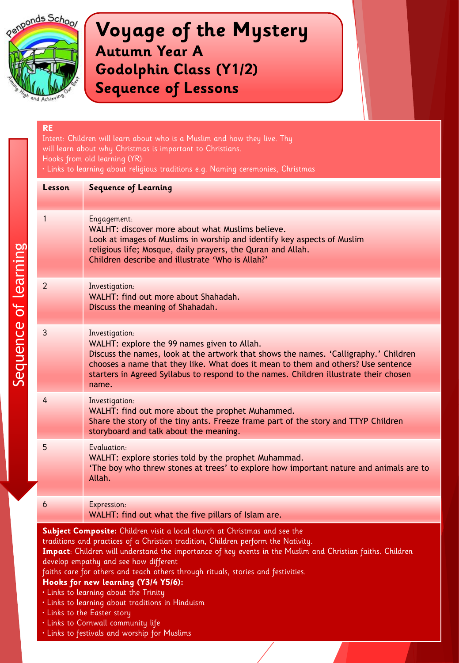

### **RE**

Sequence of learning

Sequence of learning

Intent: Children will learn about who is a Muslim and how they live. Thy will learn about why Christmas is important to Christians. Hooks from old learning (YR): • Links to learning about religious traditions e.g. Naming ceremonies, Christmas

| Lesson                                                                                                                                                                                                                                                                                                                | <b>Sequence of Learning</b>                                                                                                                                                                                                                                                                                                                  |
|-----------------------------------------------------------------------------------------------------------------------------------------------------------------------------------------------------------------------------------------------------------------------------------------------------------------------|----------------------------------------------------------------------------------------------------------------------------------------------------------------------------------------------------------------------------------------------------------------------------------------------------------------------------------------------|
| 1                                                                                                                                                                                                                                                                                                                     | Engagement:<br>WALHT: discover more about what Muslims believe.<br>Look at images of Muslims in worship and identify key aspects of Muslim<br>religious life; Mosque, daily prayers, the Quran and Allah.<br>Children describe and illustrate 'Who is Allah?'                                                                                |
| 2                                                                                                                                                                                                                                                                                                                     | Investigation:<br>WALHT: find out more about Shahadah.<br>Discuss the meaning of Shahadah.                                                                                                                                                                                                                                                   |
| 3                                                                                                                                                                                                                                                                                                                     | Investigation:<br>WALHT: explore the 99 names given to Allah.<br>Discuss the names, look at the artwork that shows the names. 'Calligraphy.' Children<br>chooses a name that they like. What does it mean to them and others? Use sentence<br>starters in Agreed Syllabus to respond to the names. Children illustrate their chosen<br>name. |
| 4                                                                                                                                                                                                                                                                                                                     | Investigation:<br>WALHT: find out more about the prophet Muhammed.<br>Share the story of the tiny ants. Freeze frame part of the story and TTYP Children<br>storyboard and talk about the meaning.                                                                                                                                           |
| 5                                                                                                                                                                                                                                                                                                                     | Evaluation:<br>WALHT: explore stories told by the prophet Muhammad.<br>'The boy who threw stones at trees' to explore how important nature and animals are to<br>Allah.                                                                                                                                                                      |
| 6                                                                                                                                                                                                                                                                                                                     | Expression:<br>WALHT: find out what the five pillars of Islam are.                                                                                                                                                                                                                                                                           |
| Subject Composite: Children visit a local church at Christmas and see the<br>traditions and practices of a Christian tradition, Children perform the Nativity.<br>Impact: Children will understand the importance of key events in the Muslim and Christian faiths. Children<br>develop empathy and see how different |                                                                                                                                                                                                                                                                                                                                              |

faiths care for others and teach others through rituals, stories and festivities.

- Links to learning about the Trinity
- Links to learning about traditions in Hinduism
- Links to the Easter story
- Links to Cornwall community life
- Links to festivals and worship for Muslims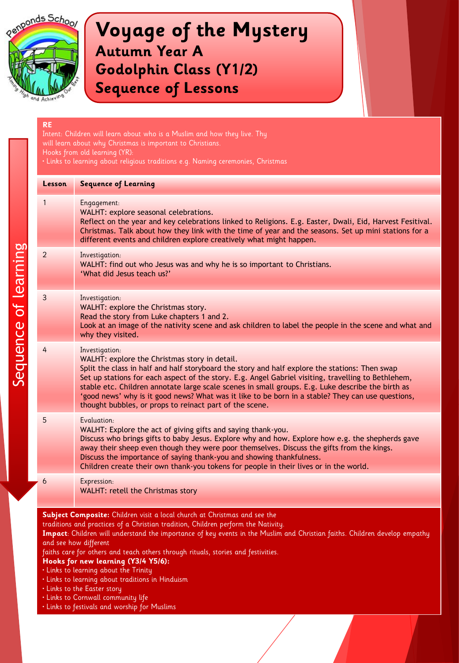

| Lesson | <b>Sequence of Learning</b>                                                                                                                                                                                                                                                                                                                                                                                                                                                                                                                                                                                                                                         |
|--------|---------------------------------------------------------------------------------------------------------------------------------------------------------------------------------------------------------------------------------------------------------------------------------------------------------------------------------------------------------------------------------------------------------------------------------------------------------------------------------------------------------------------------------------------------------------------------------------------------------------------------------------------------------------------|
| 1      | Engagement:<br>WALHT: explore seasonal celebrations.<br>Reflect on the year and key celebrations linked to Religions. E.g. Easter, Dwali, Eid, Harvest Fesitival.<br>Christmas. Talk about how they link with the time of year and the seasons. Set up mini stations for a<br>different events and children explore creatively what might happen.                                                                                                                                                                                                                                                                                                                   |
| 2      | Investigation:<br>WALHT: find out who Jesus was and why he is so important to Christians.<br>'What did Jesus teach us?'                                                                                                                                                                                                                                                                                                                                                                                                                                                                                                                                             |
| 3      | Investigation:<br>WALHT: explore the Christmas story.<br>Read the story from Luke chapters 1 and 2.<br>Look at an image of the nativity scene and ask children to label the people in the scene and what and<br>why they visited.                                                                                                                                                                                                                                                                                                                                                                                                                                   |
| 4      | Investigation:<br>WALHT: explore the Christmas story in detail.<br>Split the class in half and half storyboard the story and half explore the stations: Then swap<br>Set up stations for each aspect of the story. E.g. Angel Gabriel visiting, travelling to Bethlehem,<br>stable etc. Children annotate large scale scenes in small groups. E.g. Luke describe the birth as<br>'good news' why is it good news? What was it like to be born in a stable? They can use questions,<br>thought bubbles, or props to reinact part of the scene.                                                                                                                       |
| 5      | Evaluation:<br>WALHT: Explore the act of giving gifts and saying thank-you.<br>Discuss who brings gifts to baby Jesus. Explore why and how. Explore how e.g. the shepherds gave<br>away their sheep even though they were poor themselves. Discuss the gifts from the kings.<br>Discuss the importance of saying thank-you and showing thankfulness.<br>Children create their own thank-you tokens for people in their lives or in the world.                                                                                                                                                                                                                       |
| 6      | Expression:<br>WALHT: retell the Christmas story                                                                                                                                                                                                                                                                                                                                                                                                                                                                                                                                                                                                                    |
|        | Subject Composite: Children visit a local church at Christmas and see the<br>traditions and practices of a Christian tradition, Children perform the Nativity.<br>Impact: Children will understand the importance of key events in the Muslim and Christian faiths. Children develop empathy<br>and see how different<br>faiths care for others and teach others through rituals, stories and festivities.<br>Hooks for new learning (Y3/4 Y5/6):<br>. Links to learning about the Trinity<br>· Links to learning about traditions in Hinduism<br>. Links to the Easter story<br>· Links to Cornwall community life<br>· Links to festivals and worship for Muslims |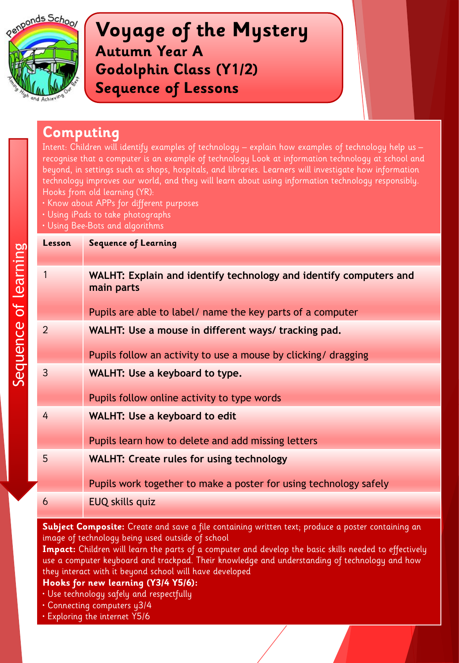

## **Computing**

Intent: Children will identify examples of technology – explain how examples of technology help us – recognise that a computer is an example of technology Look at information technology at school and beyond, in settings such as shops, hospitals, and libraries. Learners will investigate how information technology improves our world, and they will learn about using information technology responsibly. Hooks from old learning (YR):

- Know about APPs for different purposes
- Using iPads to take photographs
- Using Bee-Bots and algorithms

| Lesson         | <b>Sequence of Learning</b>                                                     |
|----------------|---------------------------------------------------------------------------------|
| 1              | WALHT: Explain and identify technology and identify computers and<br>main parts |
|                | Pupils are able to label/ name the key parts of a computer                      |
| $\overline{2}$ | WALHT: Use a mouse in different ways/ tracking pad.                             |
|                | Pupils follow an activity to use a mouse by clicking/ dragging                  |
| 3              | WALHT: Use a keyboard to type.                                                  |
|                | Pupils follow online activity to type words                                     |
| 4              | <b>WALHT: Use a keyboard to edit</b>                                            |
|                | Pupils learn how to delete and add missing letters                              |
| 5              | <b>WALHT: Create rules for using technology</b>                                 |
|                | Pupils work together to make a poster for using technology safely               |
| 6              | EUQ skills quiz                                                                 |

**Subject Composite:** Create and save a file containing written text; produce a poster containing an image of technology being used outside of school

**Impact:** Children will learn the parts of a computer and develop the basic skills needed to effectively use a computer keyboard and trackpad. Their knowledge and understanding of technology and how they interact with it beyond school will have developed

- Use technology safely and respectfully
- Connecting computers y3/4
- Exploring the internet Y5/6